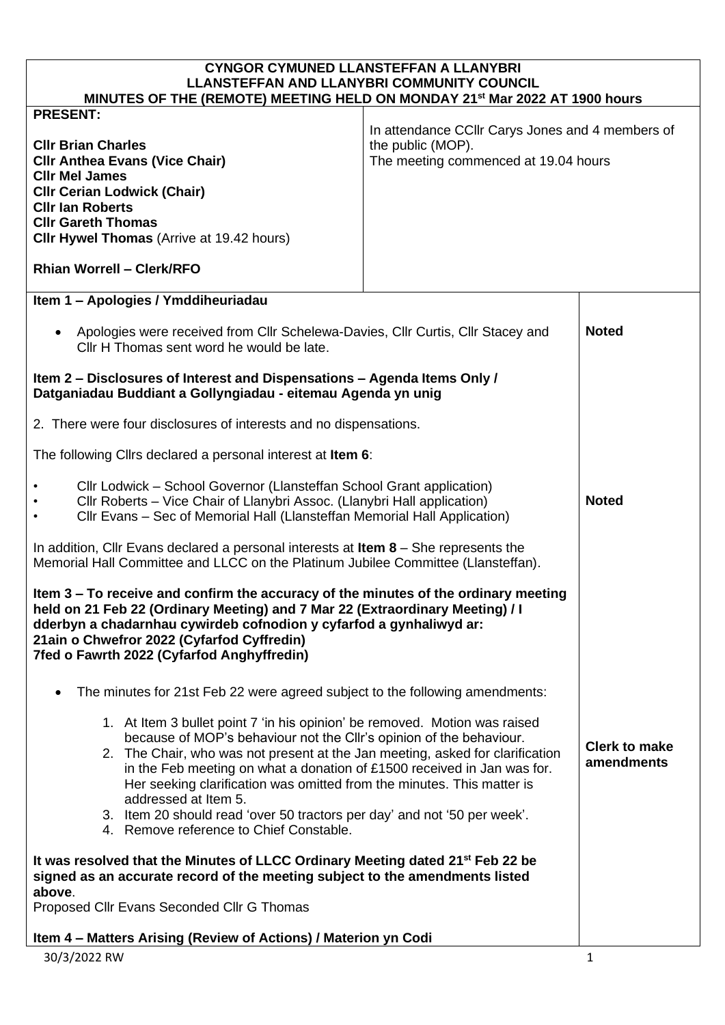| <b>CYNGOR CYMUNED LLANSTEFFAN A LLANYBRI</b><br><b>LLANSTEFFAN AND LLANYBRI COMMUNITY COUNCIL</b><br>MINUTES OF THE (REMOTE) MEETING HELD ON MONDAY 21 <sup>st</sup> Mar 2022 AT 1900 hours                                                                                                                                                                                                                                                                                                                                            |                                                                                                               |                                    |
|----------------------------------------------------------------------------------------------------------------------------------------------------------------------------------------------------------------------------------------------------------------------------------------------------------------------------------------------------------------------------------------------------------------------------------------------------------------------------------------------------------------------------------------|---------------------------------------------------------------------------------------------------------------|------------------------------------|
| <b>PRESENT:</b>                                                                                                                                                                                                                                                                                                                                                                                                                                                                                                                        |                                                                                                               |                                    |
| <b>CIIr Brian Charles</b><br><b>CIIr Anthea Evans (Vice Chair)</b><br><b>Clir Mel James</b><br><b>CIIr Cerian Lodwick (Chair)</b><br><b>CIIr Ian Roberts</b><br><b>CIIr Gareth Thomas</b><br><b>CIIr Hywel Thomas</b> (Arrive at 19.42 hours)                                                                                                                                                                                                                                                                                          | In attendance CCIIr Carys Jones and 4 members of<br>the public (MOP).<br>The meeting commenced at 19.04 hours |                                    |
| <b>Rhian Worrell - Clerk/RFO</b>                                                                                                                                                                                                                                                                                                                                                                                                                                                                                                       |                                                                                                               |                                    |
| Item 1 - Apologies / Ymddiheuriadau                                                                                                                                                                                                                                                                                                                                                                                                                                                                                                    |                                                                                                               |                                    |
| Apologies were received from Cllr Schelewa-Davies, Cllr Curtis, Cllr Stacey and<br>$\bullet$<br>Cllr H Thomas sent word he would be late.                                                                                                                                                                                                                                                                                                                                                                                              |                                                                                                               | <b>Noted</b>                       |
| Item 2 - Disclosures of Interest and Dispensations - Agenda Items Only /<br>Datganiadau Buddiant a Gollyngiadau - eitemau Agenda yn unig                                                                                                                                                                                                                                                                                                                                                                                               |                                                                                                               |                                    |
| 2. There were four disclosures of interests and no dispensations.                                                                                                                                                                                                                                                                                                                                                                                                                                                                      |                                                                                                               |                                    |
| The following Cllrs declared a personal interest at Item 6:                                                                                                                                                                                                                                                                                                                                                                                                                                                                            |                                                                                                               |                                    |
| Cllr Lodwick – School Governor (Llansteffan School Grant application)<br>Cllr Roberts - Vice Chair of Llanybri Assoc. (Llanybri Hall application)<br>Cllr Evans - Sec of Memorial Hall (Llansteffan Memorial Hall Application)                                                                                                                                                                                                                                                                                                         |                                                                                                               | <b>Noted</b>                       |
| In addition, Cllr Evans declared a personal interests at <b>Item 8</b> – She represents the<br>Memorial Hall Committee and LLCC on the Platinum Jubilee Committee (Llansteffan).                                                                                                                                                                                                                                                                                                                                                       |                                                                                                               |                                    |
| Item 3 – To receive and confirm the accuracy of the minutes of the ordinary meeting<br>held on 21 Feb 22 (Ordinary Meeting) and 7 Mar 22 (Extraordinary Meeting) / I<br>dderbyn a chadarnhau cywirdeb cofnodion y cyfarfod a gynhaliwyd ar:<br>21ain o Chwefror 2022 (Cyfarfod Cyffredin)<br>7fed o Fawrth 2022 (Cyfarfod Anghyffredin)                                                                                                                                                                                                |                                                                                                               |                                    |
| The minutes for 21st Feb 22 were agreed subject to the following amendments:                                                                                                                                                                                                                                                                                                                                                                                                                                                           |                                                                                                               |                                    |
| 1. At Item 3 bullet point 7 'in his opinion' be removed. Motion was raised<br>because of MOP's behaviour not the CIIr's opinion of the behaviour.<br>2. The Chair, who was not present at the Jan meeting, asked for clarification<br>in the Feb meeting on what a donation of £1500 received in Jan was for.<br>Her seeking clarification was omitted from the minutes. This matter is<br>addressed at Item 5.<br>3. Item 20 should read 'over 50 tractors per day' and not '50 per week'.<br>4. Remove reference to Chief Constable. |                                                                                                               | <b>Clerk to make</b><br>amendments |
| It was resolved that the Minutes of LLCC Ordinary Meeting dated 21 <sup>st</sup> Feb 22 be<br>signed as an accurate record of the meeting subject to the amendments listed                                                                                                                                                                                                                                                                                                                                                             |                                                                                                               |                                    |
| above.<br>Proposed Cllr Evans Seconded Cllr G Thomas                                                                                                                                                                                                                                                                                                                                                                                                                                                                                   |                                                                                                               |                                    |
| Item 4 - Matters Arising (Review of Actions) / Materion yn Codi                                                                                                                                                                                                                                                                                                                                                                                                                                                                        |                                                                                                               |                                    |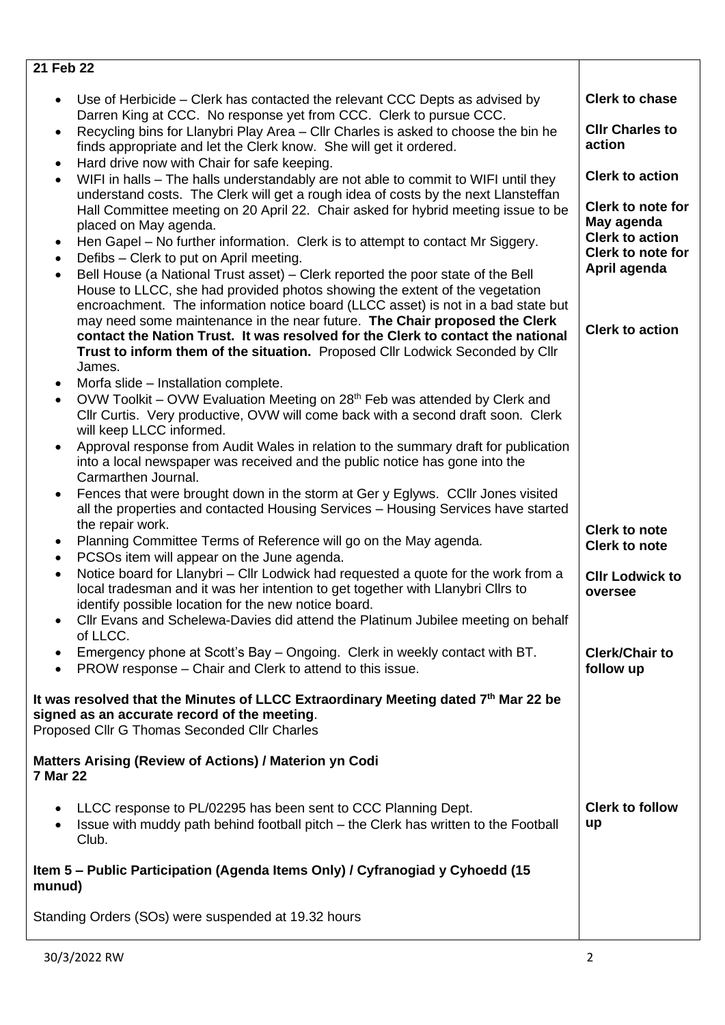| 21 Feb 22                                                                                                                                                                                             |                                                    |
|-------------------------------------------------------------------------------------------------------------------------------------------------------------------------------------------------------|----------------------------------------------------|
| Use of Herbicide - Clerk has contacted the relevant CCC Depts as advised by<br>Darren King at CCC. No response yet from CCC. Clerk to pursue CCC.                                                     | <b>Clerk to chase</b>                              |
| Recycling bins for Llanybri Play Area - Cllr Charles is asked to choose the bin he<br>$\bullet$<br>finds appropriate and let the Clerk know. She will get it ordered.                                 | <b>CIIr Charles to</b><br>action                   |
| Hard drive now with Chair for safe keeping.<br>٠                                                                                                                                                      | <b>Clerk to action</b>                             |
| WIFI in halls - The halls understandably are not able to commit to WIFI until they<br>$\bullet$<br>understand costs. The Clerk will get a rough idea of costs by the next Llansteffan                 |                                                    |
| Hall Committee meeting on 20 April 22. Chair asked for hybrid meeting issue to be                                                                                                                     | <b>Clerk to note for</b>                           |
| placed on May agenda.                                                                                                                                                                                 | May agenda                                         |
| Hen Gapel – No further information. Clerk is to attempt to contact Mr Siggery.<br>٠                                                                                                                   | <b>Clerk to action</b><br><b>Clerk to note for</b> |
| Defibs - Clerk to put on April meeting.<br>٠                                                                                                                                                          | April agenda                                       |
| Bell House (a National Trust asset) – Clerk reported the poor state of the Bell<br>$\bullet$<br>House to LLCC, she had provided photos showing the extent of the vegetation                           |                                                    |
| encroachment. The information notice board (LLCC asset) is not in a bad state but                                                                                                                     |                                                    |
| may need some maintenance in the near future. The Chair proposed the Clerk                                                                                                                            | <b>Clerk to action</b>                             |
| contact the Nation Trust. It was resolved for the Clerk to contact the national                                                                                                                       |                                                    |
| Trust to inform them of the situation. Proposed Cllr Lodwick Seconded by Cllr                                                                                                                         |                                                    |
| James.<br>Morfa slide – Installation complete.<br>٠                                                                                                                                                   |                                                    |
| OVW Toolkit – OVW Evaluation Meeting on 28 <sup>th</sup> Feb was attended by Clerk and<br>$\bullet$                                                                                                   |                                                    |
| Cllr Curtis. Very productive, OVW will come back with a second draft soon. Clerk<br>will keep LLCC informed.                                                                                          |                                                    |
| Approval response from Audit Wales in relation to the summary draft for publication                                                                                                                   |                                                    |
| into a local newspaper was received and the public notice has gone into the                                                                                                                           |                                                    |
| Carmarthen Journal.                                                                                                                                                                                   |                                                    |
| Fences that were brought down in the storm at Ger y Eglyws. CCIIr Jones visited<br>$\bullet$<br>all the properties and contacted Housing Services - Housing Services have started<br>the repair work. |                                                    |
| Planning Committee Terms of Reference will go on the May agenda.<br>$\bullet$                                                                                                                         | <b>Clerk to note</b><br><b>Clerk to note</b>       |
| PCSOs item will appear on the June agenda.<br>$\bullet$                                                                                                                                               |                                                    |
| Notice board for Llanybri – Cllr Lodwick had requested a quote for the work from a<br>$\bullet$<br>local tradesman and it was her intention to get together with Llanybri Cllrs to                    | <b>CIIr Lodwick to</b><br>oversee                  |
| identify possible location for the new notice board.                                                                                                                                                  |                                                    |
| Cllr Evans and Schelewa-Davies did attend the Platinum Jubilee meeting on behalf                                                                                                                      |                                                    |
| of LLCC.<br>Emergency phone at Scott's Bay - Ongoing. Clerk in weekly contact with BT.                                                                                                                | <b>Clerk/Chair to</b>                              |
| PROW response – Chair and Clerk to attend to this issue.<br>$\bullet$                                                                                                                                 | follow up                                          |
| It was resolved that the Minutes of LLCC Extraordinary Meeting dated 7th Mar 22 be<br>signed as an accurate record of the meeting.<br>Proposed Cllr G Thomas Seconded Cllr Charles                    |                                                    |
|                                                                                                                                                                                                       |                                                    |
| <b>Matters Arising (Review of Actions) / Materion yn Codi</b><br><b>7 Mar 22</b>                                                                                                                      |                                                    |
| LLCC response to PL/02295 has been sent to CCC Planning Dept.                                                                                                                                         | <b>Clerk to follow</b>                             |
| Issue with muddy path behind football pitch - the Clerk has written to the Football<br>Club.                                                                                                          | up                                                 |
| Item 5 – Public Participation (Agenda Items Only) / Cyfranogiad y Cyhoedd (15<br>munud)                                                                                                               |                                                    |
| Standing Orders (SOs) were suspended at 19.32 hours                                                                                                                                                   |                                                    |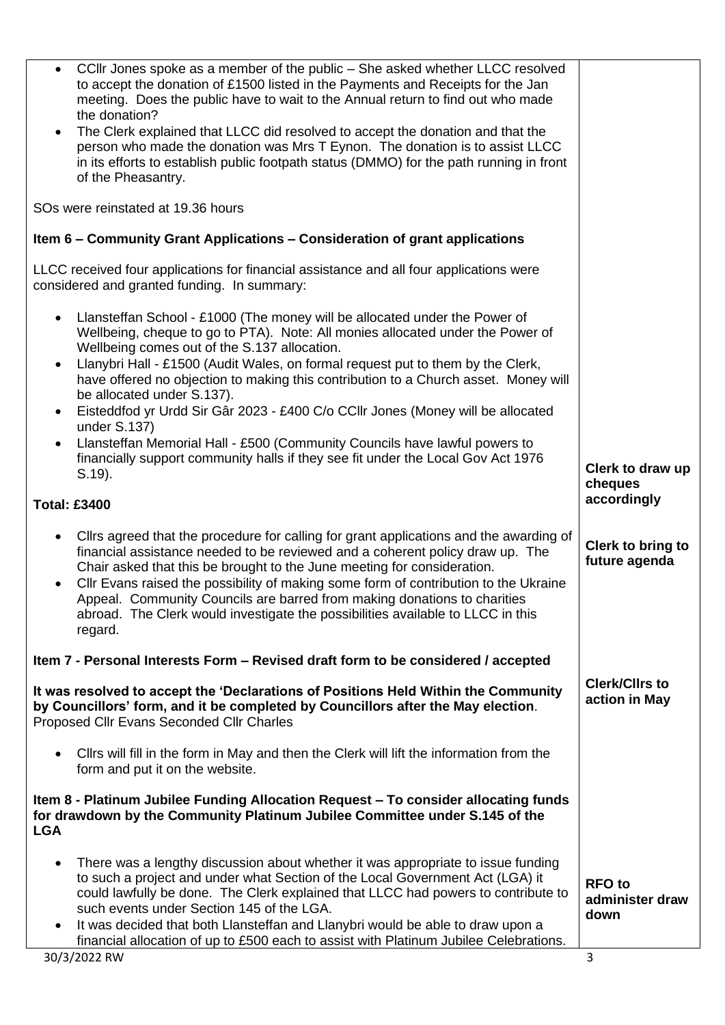| • CCIIr Jones spoke as a member of the public – She asked whether LLCC resolved<br>to accept the donation of £1500 listed in the Payments and Receipts for the Jan<br>meeting. Does the public have to wait to the Annual return to find out who made<br>the donation?                                                                                                                                                                                                                                                                         |                                          |
|------------------------------------------------------------------------------------------------------------------------------------------------------------------------------------------------------------------------------------------------------------------------------------------------------------------------------------------------------------------------------------------------------------------------------------------------------------------------------------------------------------------------------------------------|------------------------------------------|
| The Clerk explained that LLCC did resolved to accept the donation and that the<br>$\bullet$<br>person who made the donation was Mrs T Eynon. The donation is to assist LLCC<br>in its efforts to establish public footpath status (DMMO) for the path running in front<br>of the Pheasantry.                                                                                                                                                                                                                                                   |                                          |
| SOs were reinstated at 19.36 hours                                                                                                                                                                                                                                                                                                                                                                                                                                                                                                             |                                          |
| Item 6 – Community Grant Applications – Consideration of grant applications                                                                                                                                                                                                                                                                                                                                                                                                                                                                    |                                          |
| LLCC received four applications for financial assistance and all four applications were<br>considered and granted funding. In summary:                                                                                                                                                                                                                                                                                                                                                                                                         |                                          |
| Llansteffan School - £1000 (The money will be allocated under the Power of<br>$\bullet$<br>Wellbeing, cheque to go to PTA). Note: All monies allocated under the Power of<br>Wellbeing comes out of the S.137 allocation.                                                                                                                                                                                                                                                                                                                      |                                          |
| Llanybri Hall - £1500 (Audit Wales, on formal request put to them by the Clerk,<br>have offered no objection to making this contribution to a Church asset. Money will<br>be allocated under S.137).                                                                                                                                                                                                                                                                                                                                           |                                          |
| Eisteddfod yr Urdd Sir Gâr 2023 - £400 C/o CCIIr Jones (Money will be allocated<br>$\bullet$<br>under S.137)                                                                                                                                                                                                                                                                                                                                                                                                                                   |                                          |
| Llansteffan Memorial Hall - £500 (Community Councils have lawful powers to<br>financially support community halls if they see fit under the Local Gov Act 1976                                                                                                                                                                                                                                                                                                                                                                                 | Clerk to draw up                         |
| $S.19$ ).<br><b>Total: £3400</b>                                                                                                                                                                                                                                                                                                                                                                                                                                                                                                               | cheques<br>accordingly                   |
| Cllrs agreed that the procedure for calling for grant applications and the awarding of<br>$\bullet$<br>financial assistance needed to be reviewed and a coherent policy draw up. The<br>Chair asked that this be brought to the June meeting for consideration.<br>Cllr Evans raised the possibility of making some form of contribution to the Ukraine<br>$\bullet$<br>Appeal. Community Councils are barred from making donations to charities<br>abroad. The Clerk would investigate the possibilities available to LLCC in this<br>regard. | Clerk to bring to<br>future agenda       |
| Item 7 - Personal Interests Form – Revised draft form to be considered / accepted                                                                                                                                                                                                                                                                                                                                                                                                                                                              |                                          |
| It was resolved to accept the 'Declarations of Positions Held Within the Community<br>by Councillors' form, and it be completed by Councillors after the May election.<br>Proposed Cllr Evans Seconded Cllr Charles                                                                                                                                                                                                                                                                                                                            | <b>Clerk/Cllrs to</b><br>action in May   |
| Cllrs will fill in the form in May and then the Clerk will lift the information from the<br>$\bullet$<br>form and put it on the website.                                                                                                                                                                                                                                                                                                                                                                                                       |                                          |
| Item 8 - Platinum Jubilee Funding Allocation Request - To consider allocating funds<br>for drawdown by the Community Platinum Jubilee Committee under S.145 of the<br><b>LGA</b>                                                                                                                                                                                                                                                                                                                                                               |                                          |
| There was a lengthy discussion about whether it was appropriate to issue funding<br>$\bullet$<br>to such a project and under what Section of the Local Government Act (LGA) it<br>could lawfully be done. The Clerk explained that LLCC had powers to contribute to<br>such events under Section 145 of the LGA.                                                                                                                                                                                                                               | <b>RFO</b> to<br>administer draw<br>down |
| It was decided that both Llansteffan and Llanybri would be able to draw upon a<br>$\bullet$<br>financial allocation of up to £500 each to assist with Platinum Jubilee Celebrations.                                                                                                                                                                                                                                                                                                                                                           |                                          |
| 30/3/2022 RW                                                                                                                                                                                                                                                                                                                                                                                                                                                                                                                                   | 3                                        |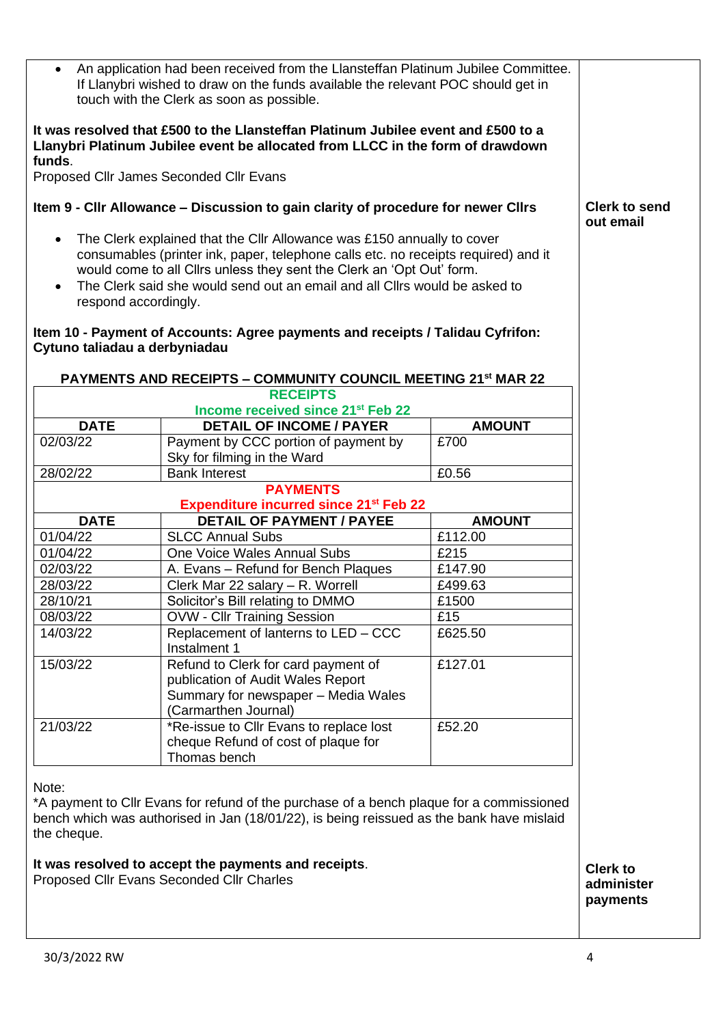| An application had been received from the Llansteffan Platinum Jubilee Committee.<br>If Llanybri wished to draw on the funds available the relevant POC should get in<br>touch with the Clerk as soon as possible. |                                                                                                                                                                     |                       |                                   |
|--------------------------------------------------------------------------------------------------------------------------------------------------------------------------------------------------------------------|---------------------------------------------------------------------------------------------------------------------------------------------------------------------|-----------------------|-----------------------------------|
| funds.                                                                                                                                                                                                             | It was resolved that £500 to the Llansteffan Platinum Jubilee event and £500 to a<br>Llanybri Platinum Jubilee event be allocated from LLCC in the form of drawdown |                       |                                   |
|                                                                                                                                                                                                                    | Proposed Cllr James Seconded Cllr Evans                                                                                                                             |                       |                                   |
|                                                                                                                                                                                                                    | Item 9 - Cllr Allowance – Discussion to gain clarity of procedure for newer Cllrs                                                                                   |                       | <b>Clerk to send</b><br>out email |
| $\bullet$                                                                                                                                                                                                          | The Clerk explained that the Cllr Allowance was £150 annually to cover                                                                                              |                       |                                   |
|                                                                                                                                                                                                                    | consumables (printer ink, paper, telephone calls etc. no receipts required) and it<br>would come to all Cllrs unless they sent the Clerk an 'Opt Out' form.         |                       |                                   |
|                                                                                                                                                                                                                    | The Clerk said she would send out an email and all Cllrs would be asked to                                                                                          |                       |                                   |
| respond accordingly.                                                                                                                                                                                               |                                                                                                                                                                     |                       |                                   |
| Cytuno taliadau a derbyniadau                                                                                                                                                                                      | Item 10 - Payment of Accounts: Agree payments and receipts / Talidau Cyfrifon:                                                                                      |                       |                                   |
|                                                                                                                                                                                                                    | <b>PAYMENTS AND RECEIPTS - COMMUNITY COUNCIL MEETING 21st MAR 22</b>                                                                                                |                       |                                   |
|                                                                                                                                                                                                                    | <b>RECEIPTS</b>                                                                                                                                                     |                       |                                   |
|                                                                                                                                                                                                                    | Income received since 21st Feb 22                                                                                                                                   |                       |                                   |
| <b>DATE</b><br>02/03/22                                                                                                                                                                                            | <b>DETAIL OF INCOME / PAYER</b><br>Payment by CCC portion of payment by                                                                                             | <b>AMOUNT</b><br>£700 |                                   |
|                                                                                                                                                                                                                    | Sky for filming in the Ward                                                                                                                                         |                       |                                   |
| 28/02/22                                                                                                                                                                                                           | <b>Bank Interest</b>                                                                                                                                                | £0.56                 |                                   |
|                                                                                                                                                                                                                    | <b>PAYMENTS</b>                                                                                                                                                     |                       |                                   |
|                                                                                                                                                                                                                    | <b>Expenditure incurred since 21st Feb 22</b>                                                                                                                       |                       |                                   |
| <b>DATE</b>                                                                                                                                                                                                        | <b>DETAIL OF PAYMENT / PAYEE</b>                                                                                                                                    | <b>AMOUNT</b>         |                                   |
| 01/04/22<br>01/04/22                                                                                                                                                                                               | <b>SLCC Annual Subs</b><br>One Voice Wales Annual Subs                                                                                                              | £112.00<br>£215       |                                   |
| 02/03/22                                                                                                                                                                                                           | A. Evans - Refund for Bench Plaques                                                                                                                                 | £147.90               |                                   |
| 28/03/22                                                                                                                                                                                                           | Clerk Mar 22 salary - R. Worrell                                                                                                                                    | £499.63               |                                   |
| 28/10/21                                                                                                                                                                                                           | Solicitor's Bill relating to DMMO                                                                                                                                   | £1500                 |                                   |
| 08/03/22                                                                                                                                                                                                           | <b>OVW - Cllr Training Session</b>                                                                                                                                  | £15                   |                                   |
| 14/03/22                                                                                                                                                                                                           | Replacement of lanterns to LED - CCC                                                                                                                                | £625.50               |                                   |
|                                                                                                                                                                                                                    | Instalment 1                                                                                                                                                        |                       |                                   |
| 15/03/22                                                                                                                                                                                                           | Refund to Clerk for card payment of                                                                                                                                 | £127.01               |                                   |
|                                                                                                                                                                                                                    | publication of Audit Wales Report                                                                                                                                   |                       |                                   |
|                                                                                                                                                                                                                    | Summary for newspaper - Media Wales                                                                                                                                 |                       |                                   |
|                                                                                                                                                                                                                    | (Carmarthen Journal)                                                                                                                                                |                       |                                   |
| 21/03/22                                                                                                                                                                                                           | *Re-issue to Cllr Evans to replace lost                                                                                                                             | £52.20                |                                   |
|                                                                                                                                                                                                                    | cheque Refund of cost of plaque for<br>Thomas bench                                                                                                                 |                       |                                   |
|                                                                                                                                                                                                                    |                                                                                                                                                                     |                       |                                   |
| Note:                                                                                                                                                                                                              |                                                                                                                                                                     |                       |                                   |
|                                                                                                                                                                                                                    | *A payment to Cllr Evans for refund of the purchase of a bench plaque for a commissioned                                                                            |                       |                                   |
|                                                                                                                                                                                                                    | bench which was authorised in Jan (18/01/22), is being reissued as the bank have mislaid                                                                            |                       |                                   |
| the cheque.                                                                                                                                                                                                        |                                                                                                                                                                     |                       |                                   |
|                                                                                                                                                                                                                    | It was resolved to accept the payments and receipts.<br>Proposed Cllr Evans Seconded Cllr Charles                                                                   |                       | <b>Clerk to</b><br>administer     |
|                                                                                                                                                                                                                    |                                                                                                                                                                     |                       | payments                          |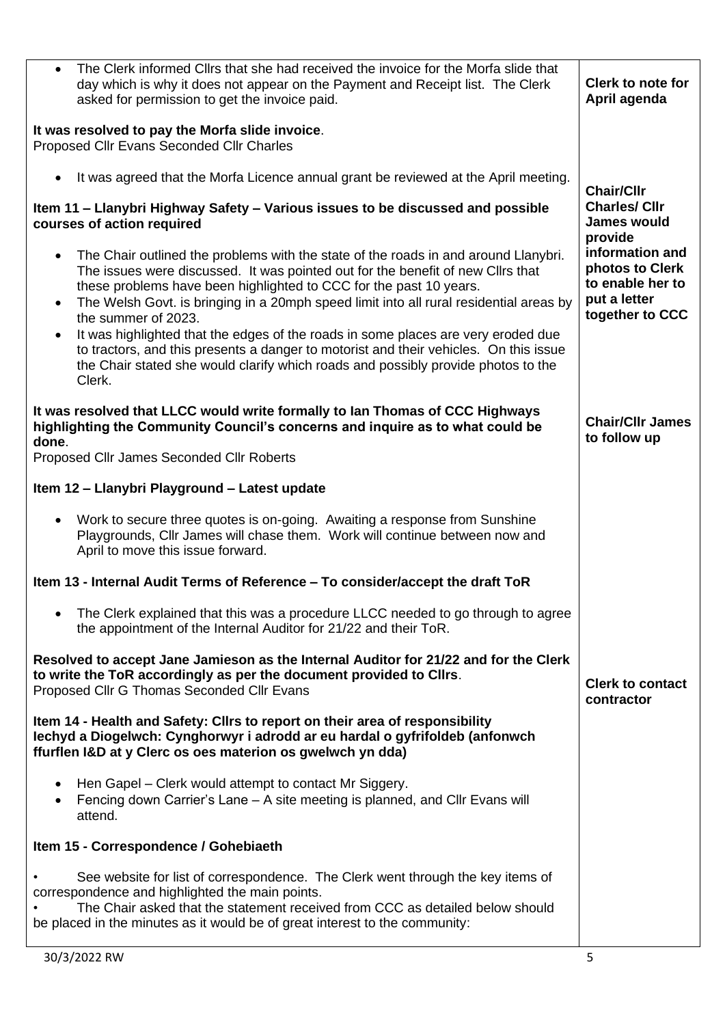| The Clerk informed Cllrs that she had received the invoice for the Morfa slide that<br>$\bullet$<br>day which is why it does not appear on the Payment and Receipt list. The Clerk<br>asked for permission to get the invoice paid.                                                                                                                                                                                                                                                                                                                                                                                                                                               | <b>Clerk to note for</b><br>April agenda                                                             |
|-----------------------------------------------------------------------------------------------------------------------------------------------------------------------------------------------------------------------------------------------------------------------------------------------------------------------------------------------------------------------------------------------------------------------------------------------------------------------------------------------------------------------------------------------------------------------------------------------------------------------------------------------------------------------------------|------------------------------------------------------------------------------------------------------|
| It was resolved to pay the Morfa slide invoice.<br>Proposed Cllr Evans Seconded Cllr Charles                                                                                                                                                                                                                                                                                                                                                                                                                                                                                                                                                                                      |                                                                                                      |
| It was agreed that the Morfa Licence annual grant be reviewed at the April meeting.                                                                                                                                                                                                                                                                                                                                                                                                                                                                                                                                                                                               | <b>Chair/Cllr</b>                                                                                    |
| Item 11 – Llanybri Highway Safety – Various issues to be discussed and possible<br>courses of action required                                                                                                                                                                                                                                                                                                                                                                                                                                                                                                                                                                     | <b>Charles/ Cllr</b><br><b>James would</b>                                                           |
| The Chair outlined the problems with the state of the roads in and around Llanybri.<br>$\bullet$<br>The issues were discussed. It was pointed out for the benefit of new Cllrs that<br>these problems have been highlighted to CCC for the past 10 years.<br>The Welsh Govt. is bringing in a 20mph speed limit into all rural residential areas by<br>$\bullet$<br>the summer of 2023.<br>It was highlighted that the edges of the roads in some places are very eroded due<br>$\bullet$<br>to tractors, and this presents a danger to motorist and their vehicles. On this issue<br>the Chair stated she would clarify which roads and possibly provide photos to the<br>Clerk. | provide<br>information and<br>photos to Clerk<br>to enable her to<br>put a letter<br>together to CCC |
| It was resolved that LLCC would write formally to lan Thomas of CCC Highways<br>highlighting the Community Council's concerns and inquire as to what could be<br>done.<br>Proposed Cllr James Seconded Cllr Roberts                                                                                                                                                                                                                                                                                                                                                                                                                                                               | <b>Chair/Cllr James</b><br>to follow up                                                              |
|                                                                                                                                                                                                                                                                                                                                                                                                                                                                                                                                                                                                                                                                                   |                                                                                                      |
| Item 12 - Llanybri Playground - Latest update                                                                                                                                                                                                                                                                                                                                                                                                                                                                                                                                                                                                                                     |                                                                                                      |
| Work to secure three quotes is on-going. Awaiting a response from Sunshine<br>$\bullet$<br>Playgrounds, Cllr James will chase them. Work will continue between now and<br>April to move this issue forward.                                                                                                                                                                                                                                                                                                                                                                                                                                                                       |                                                                                                      |
| Item 13 - Internal Audit Terms of Reference - To consider/accept the draft ToR                                                                                                                                                                                                                                                                                                                                                                                                                                                                                                                                                                                                    |                                                                                                      |
| The Clerk explained that this was a procedure LLCC needed to go through to agree<br>$\bullet$<br>the appointment of the Internal Auditor for 21/22 and their ToR.                                                                                                                                                                                                                                                                                                                                                                                                                                                                                                                 |                                                                                                      |
| Resolved to accept Jane Jamieson as the Internal Auditor for 21/22 and for the Clerk<br>to write the ToR accordingly as per the document provided to Cllrs.<br>Proposed Cllr G Thomas Seconded Cllr Evans                                                                                                                                                                                                                                                                                                                                                                                                                                                                         | <b>Clerk to contact</b><br>contractor                                                                |
| Item 14 - Health and Safety: Clirs to report on their area of responsibility<br>lechyd a Diogelwch: Cynghorwyr i adrodd ar eu hardal o gyfrifoldeb (anfonwch<br>ffurflen I&D at y Clerc os oes materion os gwelwch yn dda)                                                                                                                                                                                                                                                                                                                                                                                                                                                        |                                                                                                      |
| Hen Gapel – Clerk would attempt to contact Mr Siggery.<br>٠<br>Fencing down Carrier's Lane - A site meeting is planned, and Cllr Evans will<br>attend.                                                                                                                                                                                                                                                                                                                                                                                                                                                                                                                            |                                                                                                      |
| Item 15 - Correspondence / Gohebiaeth                                                                                                                                                                                                                                                                                                                                                                                                                                                                                                                                                                                                                                             |                                                                                                      |
| See website for list of correspondence. The Clerk went through the key items of<br>correspondence and highlighted the main points.<br>The Chair asked that the statement received from CCC as detailed below should<br>be placed in the minutes as it would be of great interest to the community:                                                                                                                                                                                                                                                                                                                                                                                |                                                                                                      |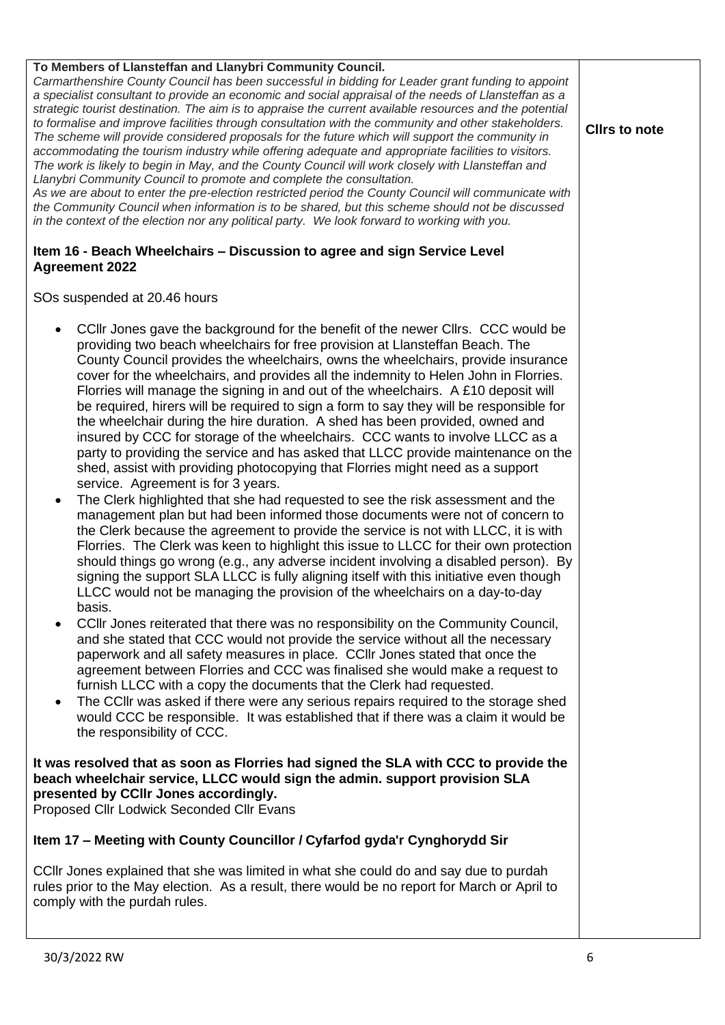| <b>Agreement 2022</b><br>SOs suspended at 20.46 hours<br>CCIIr Jones gave the background for the benefit of the newer CIIrs. CCC would be<br>providing two beach wheelchairs for free provision at Llansteffan Beach. The<br>County Council provides the wheelchairs, owns the wheelchairs, provide insurance<br>cover for the wheelchairs, and provides all the indemnity to Helen John in Florries.<br>Florries will manage the signing in and out of the wheelchairs. A £10 deposit will<br>be required, hirers will be required to sign a form to say they will be responsible for<br>the wheelchair during the hire duration. A shed has been provided, owned and<br>insured by CCC for storage of the wheelchairs. CCC wants to involve LLCC as a<br>party to providing the service and has asked that LLCC provide maintenance on the<br>shed, assist with providing photocopying that Florries might need as a support<br>service. Agreement is for 3 years.<br>The Clerk highlighted that she had requested to see the risk assessment and the<br>$\bullet$<br>management plan but had been informed those documents were not of concern to<br>the Clerk because the agreement to provide the service is not with LLCC, it is with<br>Florries. The Clerk was keen to highlight this issue to LLCC for their own protection<br>should things go wrong (e.g., any adverse incident involving a disabled person). By<br>signing the support SLA LLCC is fully aligning itself with this initiative even though<br>LLCC would not be managing the provision of the wheelchairs on a day-to-day<br>basis.<br>CCIIr Jones reiterated that there was no responsibility on the Community Council,<br>and she stated that CCC would not provide the service without all the necessary<br>paperwork and all safety measures in place. CCIIr Jones stated that once the<br>agreement between Florries and CCC was finalised she would make a request to<br>furnish LLCC with a copy the documents that the Clerk had requested.<br>The CCIIr was asked if there were any serious repairs required to the storage shed<br>would CCC be responsible. It was established that if there was a claim it would be<br>the responsibility of CCC.<br>It was resolved that as soon as Florries had signed the SLA with CCC to provide the<br>beach wheelchair service, LLCC would sign the admin. support provision SLA<br>presented by CCIIr Jones accordingly.<br>Proposed Cllr Lodwick Seconded Cllr Evans<br>Item 17 - Meeting with County Councillor / Cyfarfod gyda'r Cynghorydd Sir<br>CCIIr Jones explained that she was limited in what she could do and say due to purdah<br>rules prior to the May election. As a result, there would be no report for March or April to<br>comply with the purdah rules.<br>30/3/2022 RW<br>6 | To Members of Llansteffan and Llanybri Community Council.<br>Carmarthenshire County Council has been successful in bidding for Leader grant funding to appoint<br>a specialist consultant to provide an economic and social appraisal of the needs of Llansteffan as a<br>strategic tourist destination. The aim is to appraise the current available resources and the potential<br>to formalise and improve facilities through consultation with the community and other stakeholders.<br>The scheme will provide considered proposals for the future which will support the community in<br>accommodating the tourism industry while offering adequate and appropriate facilities to visitors.<br>The work is likely to begin in May, and the County Council will work closely with Llansteffan and<br>Llanybri Community Council to promote and complete the consultation.<br>As we are about to enter the pre-election restricted period the County Council will communicate with<br>the Community Council when information is to be shared, but this scheme should not be discussed<br>in the context of the election nor any political party. We look forward to working with you.<br>Item 16 - Beach Wheelchairs - Discussion to agree and sign Service Level | <b>Clirs to note</b> |
|---------------------------------------------------------------------------------------------------------------------------------------------------------------------------------------------------------------------------------------------------------------------------------------------------------------------------------------------------------------------------------------------------------------------------------------------------------------------------------------------------------------------------------------------------------------------------------------------------------------------------------------------------------------------------------------------------------------------------------------------------------------------------------------------------------------------------------------------------------------------------------------------------------------------------------------------------------------------------------------------------------------------------------------------------------------------------------------------------------------------------------------------------------------------------------------------------------------------------------------------------------------------------------------------------------------------------------------------------------------------------------------------------------------------------------------------------------------------------------------------------------------------------------------------------------------------------------------------------------------------------------------------------------------------------------------------------------------------------------------------------------------------------------------------------------------------------------------------------------------------------------------------------------------------------------------------------------------------------------------------------------------------------------------------------------------------------------------------------------------------------------------------------------------------------------------------------------------------------------------------------------------------------------------------------------------------------------------------------------------------------------------------------------------------------------------------------------------------------------------------------------------------------------------------------------------------------------------------------------------------------------------------------------------------------------------------------------------------------------------------------------------------------------------------------------------------------------|-----------------------------------------------------------------------------------------------------------------------------------------------------------------------------------------------------------------------------------------------------------------------------------------------------------------------------------------------------------------------------------------------------------------------------------------------------------------------------------------------------------------------------------------------------------------------------------------------------------------------------------------------------------------------------------------------------------------------------------------------------------------------------------------------------------------------------------------------------------------------------------------------------------------------------------------------------------------------------------------------------------------------------------------------------------------------------------------------------------------------------------------------------------------------------------------------------------------------------------------------------------------------|----------------------|
|                                                                                                                                                                                                                                                                                                                                                                                                                                                                                                                                                                                                                                                                                                                                                                                                                                                                                                                                                                                                                                                                                                                                                                                                                                                                                                                                                                                                                                                                                                                                                                                                                                                                                                                                                                                                                                                                                                                                                                                                                                                                                                                                                                                                                                                                                                                                                                                                                                                                                                                                                                                                                                                                                                                                                                                                                                 |                                                                                                                                                                                                                                                                                                                                                                                                                                                                                                                                                                                                                                                                                                                                                                                                                                                                                                                                                                                                                                                                                                                                                                                                                                                                       |                      |
|                                                                                                                                                                                                                                                                                                                                                                                                                                                                                                                                                                                                                                                                                                                                                                                                                                                                                                                                                                                                                                                                                                                                                                                                                                                                                                                                                                                                                                                                                                                                                                                                                                                                                                                                                                                                                                                                                                                                                                                                                                                                                                                                                                                                                                                                                                                                                                                                                                                                                                                                                                                                                                                                                                                                                                                                                                 |                                                                                                                                                                                                                                                                                                                                                                                                                                                                                                                                                                                                                                                                                                                                                                                                                                                                                                                                                                                                                                                                                                                                                                                                                                                                       |                      |
|                                                                                                                                                                                                                                                                                                                                                                                                                                                                                                                                                                                                                                                                                                                                                                                                                                                                                                                                                                                                                                                                                                                                                                                                                                                                                                                                                                                                                                                                                                                                                                                                                                                                                                                                                                                                                                                                                                                                                                                                                                                                                                                                                                                                                                                                                                                                                                                                                                                                                                                                                                                                                                                                                                                                                                                                                                 |                                                                                                                                                                                                                                                                                                                                                                                                                                                                                                                                                                                                                                                                                                                                                                                                                                                                                                                                                                                                                                                                                                                                                                                                                                                                       |                      |
|                                                                                                                                                                                                                                                                                                                                                                                                                                                                                                                                                                                                                                                                                                                                                                                                                                                                                                                                                                                                                                                                                                                                                                                                                                                                                                                                                                                                                                                                                                                                                                                                                                                                                                                                                                                                                                                                                                                                                                                                                                                                                                                                                                                                                                                                                                                                                                                                                                                                                                                                                                                                                                                                                                                                                                                                                                 |                                                                                                                                                                                                                                                                                                                                                                                                                                                                                                                                                                                                                                                                                                                                                                                                                                                                                                                                                                                                                                                                                                                                                                                                                                                                       |                      |